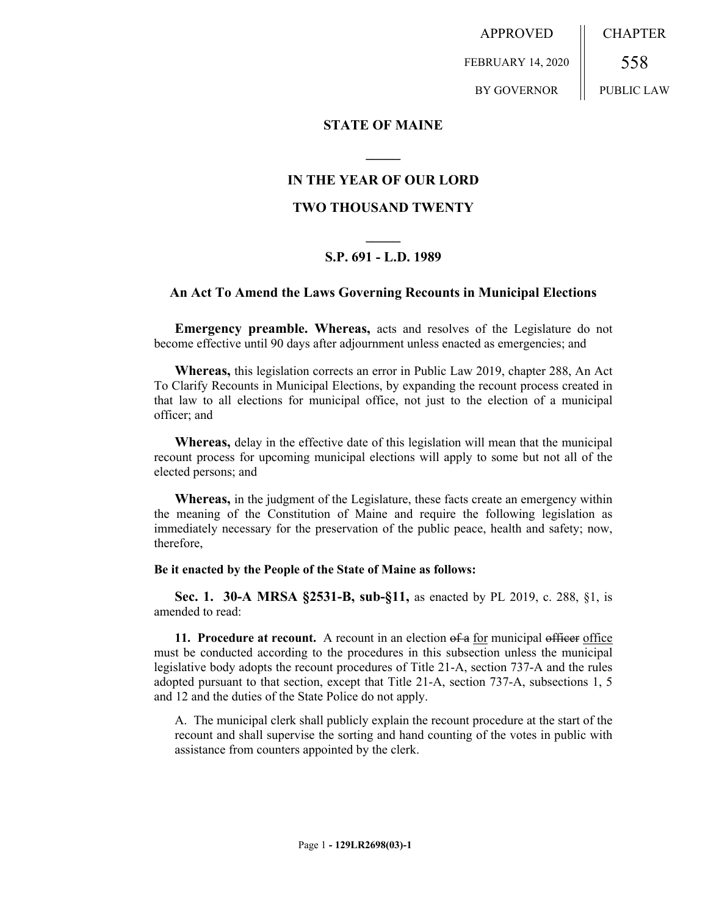APPROVED FEBRUARY 14, 2020 BY GOVERNOR CHAPTER 558 PUBLIC LAW

**STATE OF MAINE**

## **IN THE YEAR OF OUR LORD**

**\_\_\_\_\_**

### **TWO THOUSAND TWENTY**

# **\_\_\_\_\_ S.P. 691 - L.D. 1989**

### **An Act To Amend the Laws Governing Recounts in Municipal Elections**

**Emergency preamble. Whereas,** acts and resolves of the Legislature do not become effective until 90 days after adjournment unless enacted as emergencies; and

**Whereas,** this legislation corrects an error in Public Law 2019, chapter 288, An Act To Clarify Recounts in Municipal Elections, by expanding the recount process created in that law to all elections for municipal office, not just to the election of a municipal officer; and

**Whereas,** delay in the effective date of this legislation will mean that the municipal recount process for upcoming municipal elections will apply to some but not all of the elected persons; and

**Whereas,** in the judgment of the Legislature, these facts create an emergency within the meaning of the Constitution of Maine and require the following legislation as immediately necessary for the preservation of the public peace, health and safety; now, therefore,

#### **Be it enacted by the People of the State of Maine as follows:**

**Sec. 1. 30-A MRSA §2531-B, sub-§11,** as enacted by PL 2019, c. 288, §1, is amended to read:

**11. Procedure at recount.** A recount in an election of a for municipal officer office must be conducted according to the procedures in this subsection unless the municipal legislative body adopts the recount procedures of Title 21-A, section 737-A and the rules adopted pursuant to that section, except that Title 21-A, section 737-A, subsections 1, 5 and 12 and the duties of the State Police do not apply.

A. The municipal clerk shall publicly explain the recount procedure at the start of the recount and shall supervise the sorting and hand counting of the votes in public with assistance from counters appointed by the clerk.